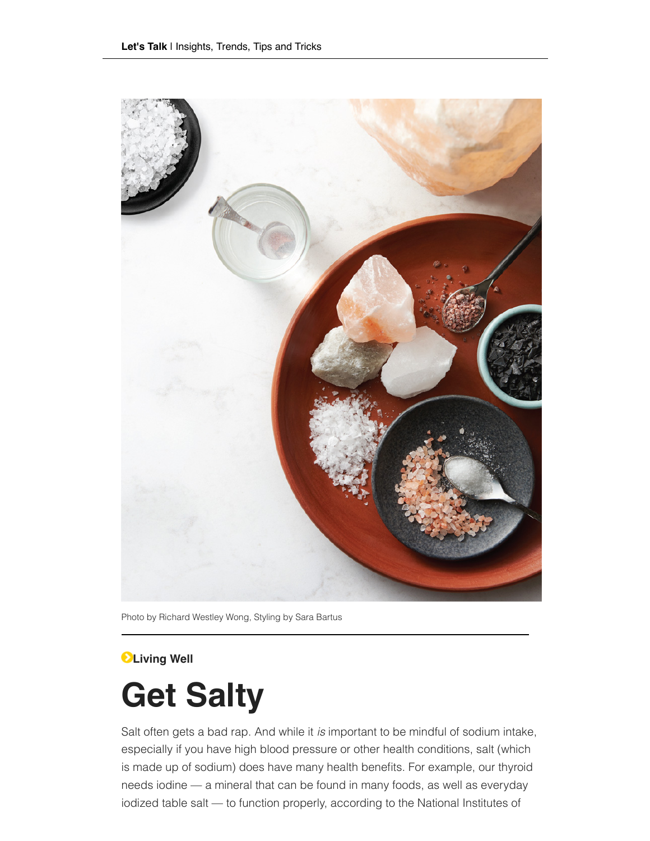

Photo by Richard Westley Wong, Styling by Sara Bartus

## **Living Well**

# **Get Salty**

Salt often gets a bad rap. And while it *is* important to be mindful of sodium intake, especially if you have high blood pressure or other health conditions, salt (which is made up of sodium) does have many health benefits. For example, our thyroid needs iodine — a mineral that can be found in many foods, as well as everyday iodized table salt — to function properly, according to the National Institutes of